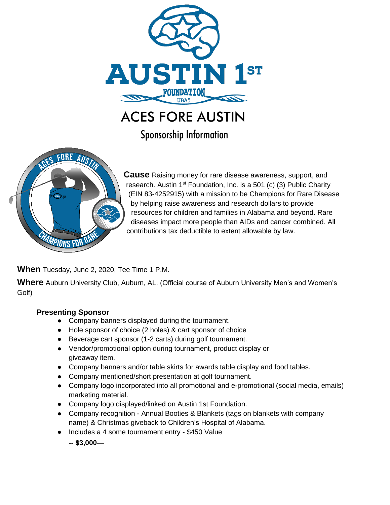

ACES FORE AUSTIN

Sponsorship Information



**Cause** Raising money for rare disease awareness, support, and research. Austin  $1<sup>st</sup>$  Foundation, Inc. is a 501 (c) (3) Public Charity (EIN 83-4252915) with a mission to be Champions for Rare Disease by helping raise awareness and research dollars to provide resources for children and families in Alabama and beyond. Rare diseases impact more people than AIDs and cancer combined. All contributions tax deductible to extent allowable by law.

**When** Tuesday, June 2, 2020, Tee Time 1 P.M.

**Where** Auburn University Club, Auburn, AL. (Official course of Auburn University Men's and Women's Golf)

## **Presenting Sponsor**

- Company banners displayed during the tournament.
- Hole sponsor of choice (2 holes) & cart sponsor of choice
- Beverage cart sponsor (1-2 carts) during golf tournament.
- Vendor/promotional option during tournament, product display or giveaway item.
- Company banners and/or table skirts for awards table display and food tables.
- Company mentioned/short presentation at golf tournament.
- Company logo incorporated into all promotional and e-promotional (social media, emails) marketing material.
- Company logo displayed/linked on Austin 1st Foundation.
- Company recognition Annual Booties & Blankets (tags on blankets with company name) & Christmas giveback to Children's Hospital of Alabama.
- Includes a 4 some tournament entry \$450 Value

**-- \$3,000—**